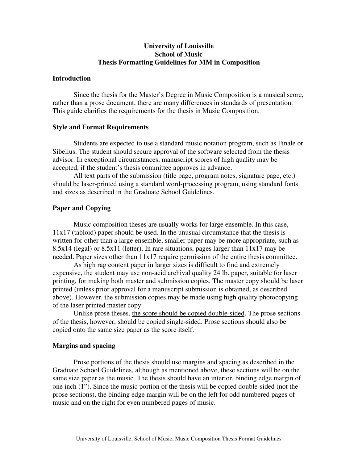# **University of Louisville School of Music Thesis Formatting Guidelines for MM in Composition**

### **Introduction**

Since the thesis for the Master's Degree in Music Composition is a musical score, rather than a prose document, there are many differences in standards of presentation. This guide clarifies the requirements for the thesis in Music Composition.

#### **Style and Format Requirements**

Students are expected to use a standard music notation program, such as Finale or Sibelius. The student should secure approval of the software selected from the thesis advisor. In exceptional circumstances, manuscript scores of high quality may be accepted, if the student's thesis committee approves in advance.

All text parts of the submission (title page, program notes, signature page, etc.) should be laser-printed using a standard word-processing program, using standard fonts and sizes as described in the Graduate School Guidelines.

# **Paper and Copying**

Music composition theses are usually works for large ensemble. In this case,  $11x17$  (tabloid) paper should be used. In the unusual circumstance that the thesis is written for other than a large ensemble, smaller paper may be more appropriate, such as 8.5x14 (legal) or 8.5x11 (letter). In rare situations, pages larger than 11x17 may be needed. Paper sizes other than 11x17 require permission of the entire thesis committee.

As high rag content paper in larger sizes is difficult to find and extremely expensive, the student may use non-acid archival quality 24 lb. paper, suitable for laser printing, for making both master and submission copies. The master copy should be laser printed (unless prior approval for a manuscript submission is obtained, as described above). However, the submission copies may be made using high quality photocopying of the laser printed master copy.

Unlike prose theses, the score should be copied double-sided. The prose sections of the thesis, however, should be copied single-sided. Prose sections should also be copied onto the same size paper as the score itself.

# **Margins and spacing**

Prose portions of the thesis should use margins and spacing as described in the Graduate School Guidelines, although as mentioned above, these sections will be on the same size paper as the music. The thesis should have an interior, binding edge margin of one inch (1"). Since the music portion of the thesis will be copied double-sided (not the prose sections), the binding edge margin will be on the left for odd numbered pages of music and on the right for even numbered pages of music.